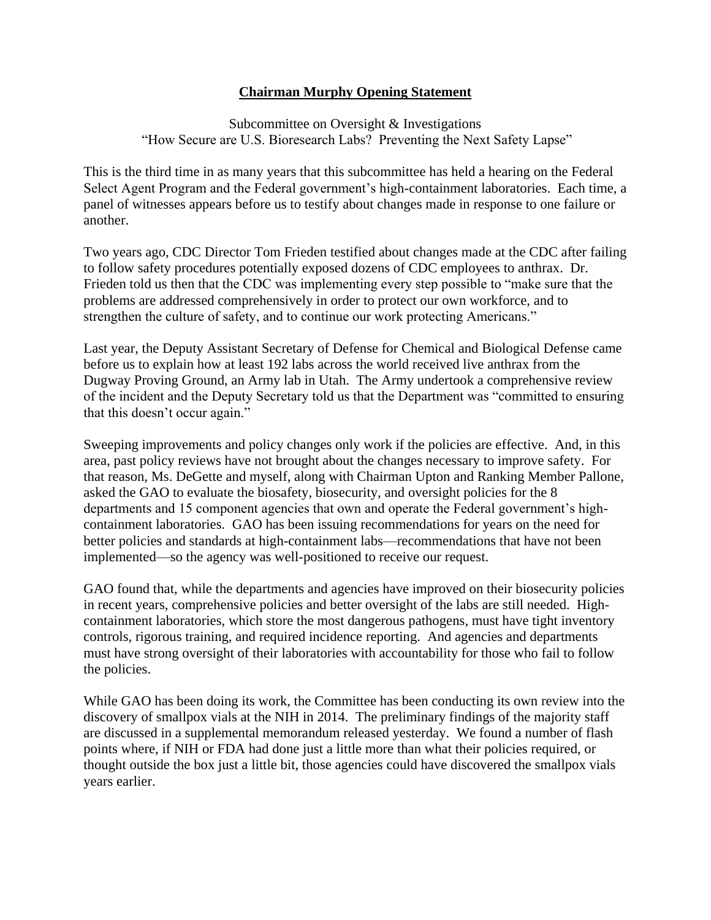## **Chairman Murphy Opening Statement**

Subcommittee on Oversight & Investigations "How Secure are U.S. Bioresearch Labs? Preventing the Next Safety Lapse"

This is the third time in as many years that this subcommittee has held a hearing on the Federal Select Agent Program and the Federal government's high-containment laboratories. Each time, a panel of witnesses appears before us to testify about changes made in response to one failure or another.

Two years ago, CDC Director Tom Frieden testified about changes made at the CDC after failing to follow safety procedures potentially exposed dozens of CDC employees to anthrax. Dr. Frieden told us then that the CDC was implementing every step possible to "make sure that the problems are addressed comprehensively in order to protect our own workforce, and to strengthen the culture of safety, and to continue our work protecting Americans."

Last year, the Deputy Assistant Secretary of Defense for Chemical and Biological Defense came before us to explain how at least 192 labs across the world received live anthrax from the Dugway Proving Ground, an Army lab in Utah. The Army undertook a comprehensive review of the incident and the Deputy Secretary told us that the Department was "committed to ensuring that this doesn't occur again."

Sweeping improvements and policy changes only work if the policies are effective. And, in this area, past policy reviews have not brought about the changes necessary to improve safety. For that reason, Ms. DeGette and myself, along with Chairman Upton and Ranking Member Pallone, asked the GAO to evaluate the biosafety, biosecurity, and oversight policies for the 8 departments and 15 component agencies that own and operate the Federal government's highcontainment laboratories. GAO has been issuing recommendations for years on the need for better policies and standards at high-containment labs—recommendations that have not been implemented—so the agency was well-positioned to receive our request.

GAO found that, while the departments and agencies have improved on their biosecurity policies in recent years, comprehensive policies and better oversight of the labs are still needed. Highcontainment laboratories, which store the most dangerous pathogens, must have tight inventory controls, rigorous training, and required incidence reporting. And agencies and departments must have strong oversight of their laboratories with accountability for those who fail to follow the policies.

While GAO has been doing its work, the Committee has been conducting its own review into the discovery of smallpox vials at the NIH in 2014. The preliminary findings of the majority staff are discussed in a supplemental memorandum released yesterday. We found a number of flash points where, if NIH or FDA had done just a little more than what their policies required, or thought outside the box just a little bit, those agencies could have discovered the smallpox vials years earlier.